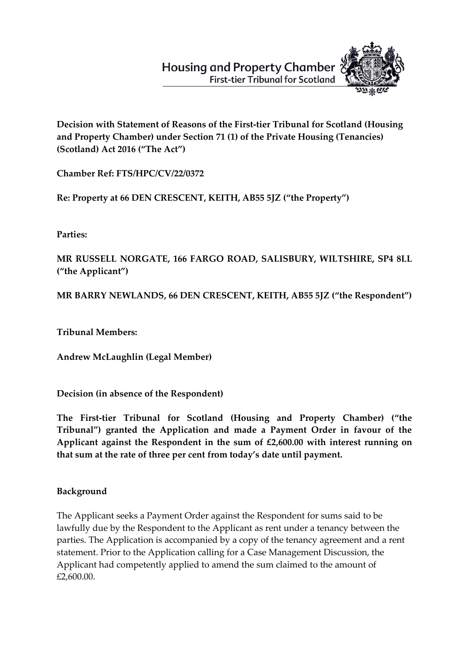# **Housing and Property Chamber First-tier Tribunal for Scotland**



**Decision with Statement of Reasons of the First-tier Tribunal for Scotland (Housing and Property Chamber) under Section 71 (1) of the Private Housing (Tenancies) (Scotland) Act 2016 ("The Act")**

**Chamber Ref: FTS/HPC/CV/22/0372**

**Re: Property at 66 DEN CRESCENT, KEITH, AB55 5JZ ("the Property")**

**Parties:**

**MR RUSSELL NORGATE, 166 FARGO ROAD, SALISBURY, WILTSHIRE, SP4 8LL ("the Applicant")**

**MR BARRY NEWLANDS, 66 DEN CRESCENT, KEITH, AB55 5JZ ("the Respondent")** 

**Tribunal Members:**

**Andrew McLaughlin (Legal Member)**

**Decision (in absence of the Respondent)**

**The First-tier Tribunal for Scotland (Housing and Property Chamber) ("the Tribunal") granted the Application and made a Payment Order in favour of the Applicant against the Respondent in the sum of £2,600.00 with interest running on that sum at the rate of three per cent from today's date until payment.**

# **Background**

The Applicant seeks a Payment Order against the Respondent for sums said to be lawfully due by the Respondent to the Applicant as rent under a tenancy between the parties. The Application is accompanied by a copy of the tenancy agreement and a rent statement. Prior to the Application calling for a Case Management Discussion, the Applicant had competently applied to amend the sum claimed to the amount of £2,600.00.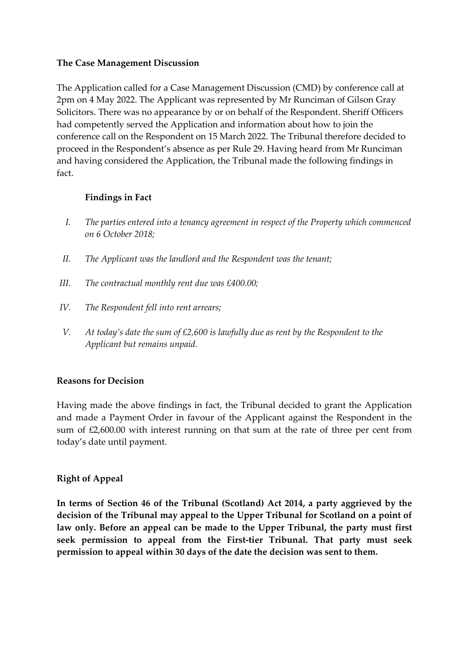#### **The Case Management Discussion**

The Application called for a Case Management Discussion (CMD) by conference call at 2pm on 4 May 2022. The Applicant was represented by Mr Runciman of Gilson Gray Solicitors. There was no appearance by or on behalf of the Respondent. Sheriff Officers had competently served the Application and information about how to join the conference call on the Respondent on 15 March 2022. The Tribunal therefore decided to proceed in the Respondent's absence as per Rule 29. Having heard from Mr Runciman and having considered the Application, the Tribunal made the following findings in fact.

#### **Findings in Fact**

- *I. The parties entered into a tenancy agreement in respect of the Property which commenced on 6 October 2018;*
- *II. The Applicant was the landlord and the Respondent was the tenant;*
- *III. The contractual monthly rent due was £400.00;*
- *IV. The Respondent fell into rent arrears;*
- *V. At today's date the sum of £2,600 is lawfully due as rent by the Respondent to the Applicant but remains unpaid.*

# **Reasons for Decision**

Having made the above findings in fact, the Tribunal decided to grant the Application and made a Payment Order in favour of the Applicant against the Respondent in the sum of £2,600.00 with interest running on that sum at the rate of three per cent from today's date until payment.

# **Right of Appeal**

**In terms of Section 46 of the Tribunal (Scotland) Act 2014, a party aggrieved by the decision of the Tribunal may appeal to the Upper Tribunal for Scotland on a point of law only. Before an appeal can be made to the Upper Tribunal, the party must first seek permission to appeal from the First-tier Tribunal. That party must seek permission to appeal within 30 days of the date the decision was sent to them.**